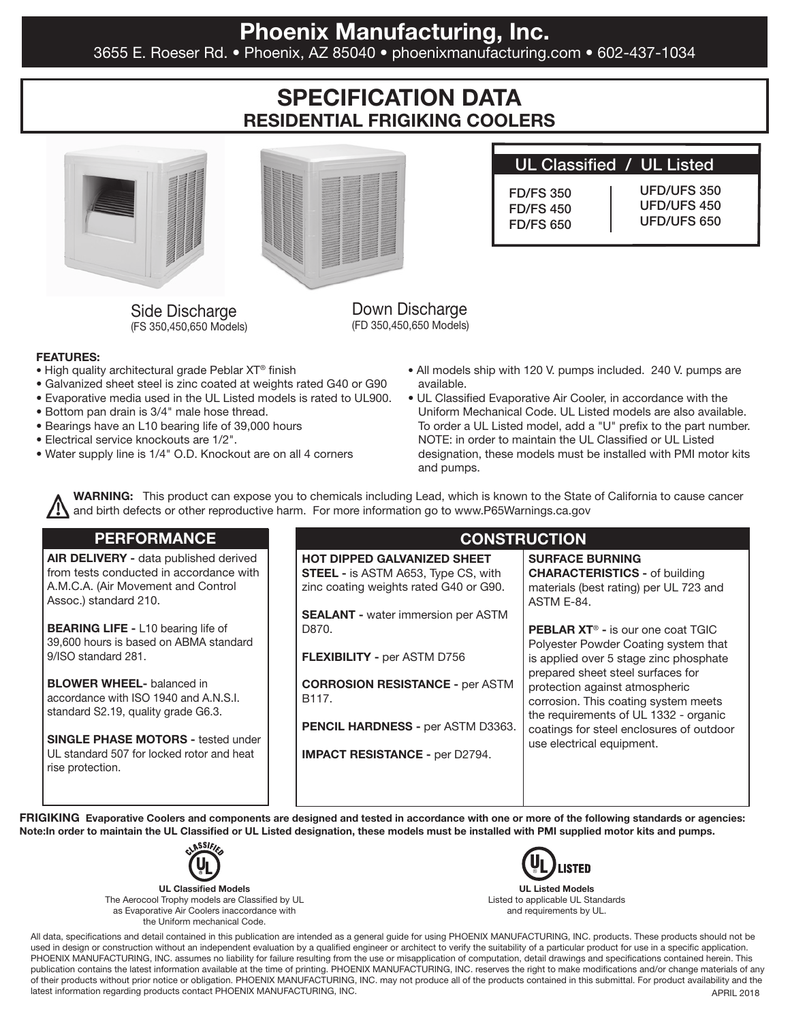## Phoenix Manufacturing, Inc.

3655 E. Roeser Rd. • Phoenix, AZ 85040 • phoenixmanufacturing.com • 602-437-1034

# SPECIFICATION DATA RESIDENTIAL FRIGIKING COOLERS





## UL Classified / UL Listed

FD/FS 350 FD/FS 450 FD/FS 650 UFD/UFS 350 UFD/UFS 450 UFD/UFS 650

Side Discharge (FS 350,450,650 Models)

Down Discharge (FD 350,450,650 Models)

#### FEATURES:

- High quality architectural grade Peblar XT® finish
- Galvanized sheet steel is zinc coated at weights rated G40 or G90
- Evaporative media used in the UL Listed models is rated to UL900.
- Bottom pan drain is 3/4" male hose thread.
- Bearings have an L10 bearing life of 39,000 hours
- Electrical service knockouts are 1/2".
- Water supply line is 1/4" O.D. Knockout are on all 4 corners
- All models ship with 120 V. pumps included. 240 V. pumps are available.
- UL Classified Evaporative Air Cooler, in accordance with the Uniform Mechanical Code. UL Listed models are also available. To order a UL Listed model, add a "U" prefix to the part number. NOTE: in order to maintain the UL Classified or UL Listed designation, these models must be installed with PMI motor kits and pumps.

WARNING: This product can expose you to chemicals including Lead, which is known to the State of California to cause cancer and birth defects or other reproductive harm. For more information go to www.P65Warnings.ca.gov

### **PERFORMANCE**

AIR DELIVERY - data published derived from tests conducted in accordance with A.M.C.A. (Air Movement and Control Assoc.) standard 210.

**BEARING LIFE - L10 bearing life of** 39,600 hours is based on ABMA standard 9/ISO standard 281.

**BLOWER WHEEL-** balanced in accordance with ISO 1940 and A.N.S.I. standard S2.19, quality grade G6.3.

SINGLE PHASE MOTORS - tested under UL standard 507 for locked rotor and heat rise protection.

### **CONSTRUCTION**

HOT DIPPED GALVANIZED SHEET **STEEL - is ASTM A653, Type CS, with** zinc coating weights rated G40 or G90.

**SEALANT** - water immersion per ASTM D870.

FLEXIBILITY - per ASTM D756

CORROSION RESISTANCE - per ASTM B117.

PENCIL HARDNESS - per ASTM D3363.

IMPACT RESISTANCE - per D2794.

SURFACE BURNING CHARACTERISTICS - of building materials (best rating) per UL 723 and ASTM E-84.

PEBLAR XT<sup>®</sup> - is our one coat TGIC Polyester Powder Coating system that is applied over 5 stage zinc phosphate prepared sheet steel surfaces for protection against atmospheric corrosion. This coating system meets the requirements of UL 1332 - organic coatings for steel enclosures of outdoor use electrical equipment.

FRIGIKING Evaporative Coolers and components are designed and tested in accordance with one or more of the following standards or agencies: Note:In order to maintain the UL Classified or UL Listed designation, these models must be installed with PMI supplied motor kits and pumps.



UL Classified Models The Aerocool Trophy models are Classified by UL as Evaporative Air Coolers inaccordance with the Uniform mechanical Code.

**LISTED** 

UL Listed Models Listed to applicable UL Standards and requirements by UL.

APRIL 2018 All data, specifications and detail contained in this publication are intended as a general guide for using PHOENIX MANUFACTURING, INC. products. These products should not be used in design or construction without an independent evaluation by a qualified engineer or architect to verify the suitability of a particular product for use in a specific application. PHOENIX MANUFACTURING, INC. assumes no liability for failure resulting from the use or misapplication of computation, detail drawings and specifications contained herein. This publication contains the latest information available at the time of printing. PHOENIX MANUFACTURING, INC. reserves the right to make modifications and/or change materials of any of their products without prior notice or obligation. PHOENIX MANUFACTURING, INC. may not produce all of the products contained in this submittal. For product availability and the latest information regarding products contact PHOENIX MANUFACTURING, INC.